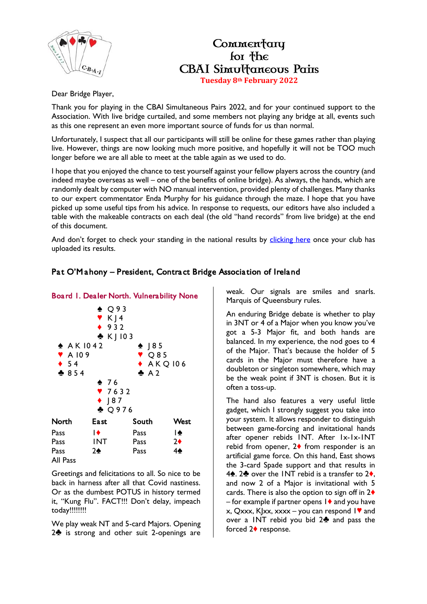

## Commentary for the **CBAI** Simultaneous Pains **Tuesday 8th February 2022**

Dear Bridge Player,

Thank you for playing in the CBAI Simultaneous Pairs 2022, and for your continued support to the Association. With live bridge curtailed, and some members not playing any bridge at all, events such as this one represent an even more important source of funds for us than normal.

Unfortunately, I suspect that all our participants will still be online for these games rather than playing live. However, things are now looking much more positive, and hopefully it will not be TOO much longer before we are all able to meet at the table again as we used to do.

I hope that you enjoyed the chance to test yourself against your fellow players across the country (and indeed maybe overseas as well – one of the benefits of online bridge). As always, the hands, which are randomly dealt by computer with NO manual intervention, provided plenty of challenges. Many thanks to our expert commentator Enda Murphy for his guidance through the maze. I hope that you have picked up some useful tips from his advice. In response to requests, our editors have also included a table with the makeable contracts on each deal (the old "hand records" from live bridge) at the end of this document.

And don't forget to check your standing in the national results by [clicking here](https://www.ecatsbridge.com/sims/results.asp?eventid=3342) once your club has uploaded its results.

## Pat O'M ahony – President, Contract Bridge Association of Ireland





Greetings and felicitations to all. So nice to be back in harness after all that Covid nastiness. Or as the dumbest POTUS in history termed it, "Kung Flu". FACT!!! Don't delay, impeach today!!!!!!!!

We play weak NT and 5-card Majors. Opening 2<sup> $\bullet$ </sup> is strong and other suit 2-openings are

weak. Our signals are smiles and snarls. Marquis of Queensbury rules.

An enduring Bridge debate is whether to play in 3NT or 4 of a Major when you know you've got a 5-3 Major fit, and both hands are balanced. In my experience, the nod goes to 4 of the Major. That's because the holder of 5 cards in the Major must therefore have a doubleton or singleton somewhere, which may be the weak point if 3NT is chosen. But it is often a toss-up.

The hand also features a very useful little gadget, which I strongly suggest you take into your system. It allows responder to distinguish between game-forcing and invitational hands after opener rebids 1NT. After 1x-1x-1NT rebid from opener,  $2\blacklozenge$  from responder is an artificial game force. On this hand, East shows the 3-card Spade support and that results in 4<sup> $\bullet$ </sup>. 2 $\bullet$  over the INT rebid is a transfer to 2 $\bullet$ , and now 2 of a Major is invitational with 5 cards. There is also the option to sign off in  $2\blacklozenge$ – for example if partner opens  $1\blacklozenge$  and you have  $x$ , Qxxx, KJxx, xxxx – you can respond  $1$  and over a INT rebid you bid  $2\clubsuit$  and pass the forced  $2\blacklozenge$  response.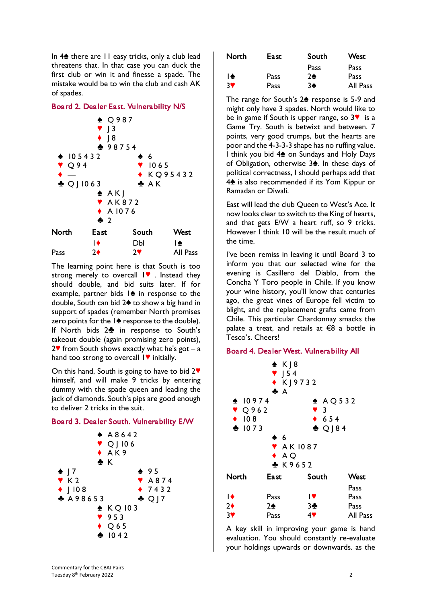In  $4\spadesuit$  there are 11 easy tricks, only a club lead threatens that. In that case you can duck the first club or win it and finesse a spade. The mistake would be to win the club and cash AK of spades.

## Board 2. Dealer East. Vulnerability N/S



The learning point here is that South is too strong merely to overcall  $\mathbf{I}$  . Instead they should double, and bid suits later. If for example, partner bids  $|\bullet|$  in response to the double, South can bid  $2\spadesuit$  to show a big hand in support of spades (remember North promises zero points for the  $1\spadesuit$  response to the double). If North bids 2<sup>4</sup> in response to South's takeout double (again promising zero points),  $2$  from South shows exactly what he's got – a hand too strong to overcall  $\mathsf{I}\blacktriangledown$  initially.

On this hand, South is going to have to bid  $2\mathbf{V}$ himself, and will make 9 tricks by entering dummy with the spade queen and leading the jack of diamonds. South's pips are good enough to deliver 2 tricks in the suit.

## Board 3. Dealer South. Vulnerability E/W



| North | East. | South          | West        |
|-------|-------|----------------|-------------|
|       |       | Pass           | <b>Pass</b> |
| I♠    | Pass  | 2 <sub>•</sub> | Pass        |
| 3V    | Pass  | $3\spadesuit$  | All Pass    |

The range for South's  $2\spadesuit$  response is 5-9 and might only have 3 spades. North would like to be in game if South is upper range, so  $3\blacktriangledown$  is a Game Try. South is betwixt and between. 7 points, very good trumps, but the hearts are poor and the 4-3-3-3 shape has no ruffing value. I think you bid  $4\spadesuit$  on Sundays and Holy Days of Obligation, otherwise 3<sup>4</sup>. In these days of political correctness, I should perhaps add that 4<sup>t</sup> is also recommended if its Yom Kippur or Ramadan or Diwali.

East will lead the club Queen to West's Ace. It now looks clear to switch to the King of hearts, and that gets E/W a heart ruff, so 9 tricks. However I think 10 will be the result much of the time.

I've been remiss in leaving it until Board 3 to inform you that our selected wine for the evening is Casillero del Diablo, from the Concha Y Toro people in Chile. If you know your wine history, you'll know that centuries ago, the great vines of Europe fell victim to blight, and the replacement grafts came from Chile. This particular Chardonnay smacks the palate a treat, and retails at €8 a bottle in Tesco's. Cheers!

#### Board 4. Dealer West. Vulnerability All



A key skill in improving your game is hand evaluation. You should constantly re-evaluate your holdings upwards or downwards. as the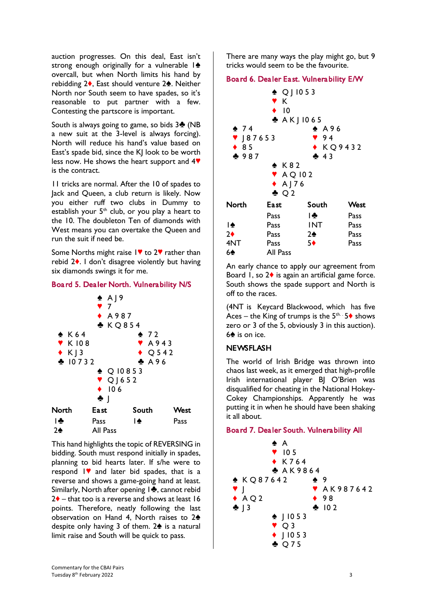auction progresses. On this deal, East isn't strong enough originally for a vulnerable  $1\spadesuit$ overcall, but when North limits his hand by rebidding  $2\spadesuit$ . East should venture  $2\spadesuit$ . Neither North nor South seem to have spades, so it's reasonable to put partner with a few. Contesting the partscore is important.

South is always going to game, so bids  $3\clubsuit$  (NB a new suit at the 3-level is always forcing). North will reduce his hand's value based on East's spade bid, since the KJ look to be worth less now. He shows the heart support and  $4\Psi$ is the contract.

11 tricks are normal. After the 10 of spades to Jack and Queen, a club return is likely. Now you either ruff two clubs in Dummy to establish your  $5<sup>th</sup>$  club, or you play a heart to the 10. The doubleton Ten of diamonds with West means you can overtake the Queen and run the suit if need be.

Some Norths might raise  $1$  to 2 $\blacktriangledown$  rather than rebid  $2\bullet$ . I don't disagree violently but having six diamonds swings it for me.

## Board 5. Dealer North. Vulnerability N/S



This hand highlights the topic of REVERSING in bidding. South must respond initially in spades, planning to bid hearts later. If s/he were to respond  $\mathsf{I}\blacktriangledown$  and later bid spades, that is a reverse and shows a game-going hand at least. Similarly, North after opening 1<sup>2</sup>, cannot rebid  $2\blacklozenge$  – that too is a reverse and shows at least 16 points. Therefore, neatly following the last observation on Hand 4, North raises to  $2\spadesuit$ despite only having 3 of them.  $2\spadesuit$  is a natural limit raise and South will be quick to pass.

There are many ways the play might go, but 9 tricks would seem to be the favourite.

## Board 6. Dealer East. Vulnerability E/W



An early chance to apply our agreement from Board 1, so  $2\blacklozenge$  is again an artificial game force. South shows the spade support and North is off to the races.

(4NT is Keycard Blackwood, which has five Aces – the King of trumps is the  $5^{th} \cdot 5 \blacklozenge$  shows zero or 3 of the 5, obviously 3 in this auction).  $6$  is on ice.

## NEWSFLASH

The world of Irish Bridge was thrown into chaos last week, as it emerged that high-profile Irish international player BJ O'Brien was disqualified for cheating in the National Hokey-Cokey Championships. Apparently he was putting it in when he should have been shaking it all about.

#### Board 7. Dealer South. Vulnerability All

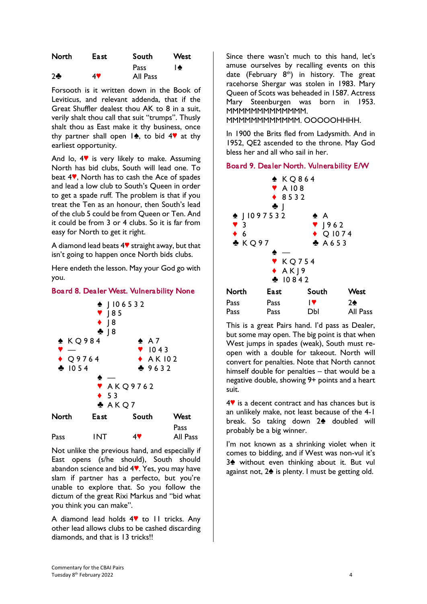| North   | East. | South    | West |
|---------|-------|----------|------|
|         |       | Pass     | I♠   |
| $2 - 5$ | 47    | All Pass |      |

Forsooth is it written down in the Book of Leviticus, and relevant addenda, that if the Great Shuffler dealest thou AK to 8 in a suit, verily shalt thou call that suit "trumps". Thusly shalt thou as East make it thy business, once thy partner shall open  $1\spadesuit$ , to bid  $4\heartsuit$  at thy earliest opportunity.

And lo,  $4$  is very likely to make. Assuming North has bid clubs, South will lead one. To beat 4<sup>,</sup> North has to cash the Ace of spades and lead a low club to South's Queen in order to get a spade ruff. The problem is that if you treat the Ten as an honour, then South's lead of the club 5 could be from Queen or Ten. And it could be from 3 or 4 clubs. So it is far from easy for North to get it right.

A diamond lead beats  $4\blacktriangledown$  straight away, but that isn't going to happen once North bids clubs.

Here endeth the lesson. May your God go with you.

## Board 8. Dealer West. Vulnerability None



Not unlike the previous hand, and especially if East opens (s/he should), South should abandon science and bid  $4$ . Yes, you may have slam if partner has a perfecto, but you're unable to explore that. So you follow the dictum of the great Rixi Markus and "bid what you think you can make".

A diamond lead holds  $4$  to 11 tricks. Any other lead allows clubs to be cashed discarding diamonds, and that is 13 tricks!!

Since there wasn't much to this hand, let's amuse ourselves by recalling events on this date (February  $8<sup>th</sup>$ ) in history. The great racehorse Shergar was stolen in 1983. Mary Queen of Scots was beheaded in 1587. Actress Mary Steenburgen was born in 1953. MMMMMMMMMMMMM.

MMMMMMMMMMMM. OOOOOHHHH.

In 1900 the Brits fled from Ladysmith. And in 1952, QE2 ascended to the throne. May God bless her and all who sail in her.

## Board 9. Dealer North. Vulnerability E/W

| $\sqrt{3}$<br>$\bullet$ 6<br>A K Q 97 | $\triangle$ KQ864<br>$\blacktriangledown$ A 108<br>◆ 8532<br>$\bullet$  <br>$\triangle$   1097532<br>٠<br>KQ754<br>$\triangle$ AK <sub>19</sub><br>$\clubsuit$ 10842 | ♠ A<br>$\sqrt{962}$<br>$\bullet$ Q 1074<br>A653 |          |
|---------------------------------------|----------------------------------------------------------------------------------------------------------------------------------------------------------------------|-------------------------------------------------|----------|
| North                                 | <b>East</b>                                                                                                                                                          | South                                           | West     |
| Pass                                  | Pass                                                                                                                                                                 | IV.                                             | 2♠       |
| Pass                                  | Pass                                                                                                                                                                 | DЫ                                              | All Pass |

This is a great Pairs hand. I'd pass as Dealer, but some may open. The big point is that when West jumps in spades (weak), South must reopen with a double for takeout. North will convert for penalties. Note that North cannot himself double for penalties – that would be a negative double, showing 9+ points and a heart suit.

 $4$  $\blacktriangleright$  is a decent contract and has chances but is an unlikely make, not least because of the 4-1 break. So taking down 2<sup>4</sup> doubled will probably be a big winner.

I'm not known as a shrinking violet when it comes to bidding, and if West was non-vul it's  $3$  without even thinking about it. But vul against not,  $2\spadesuit$  is plenty. I must be getting old.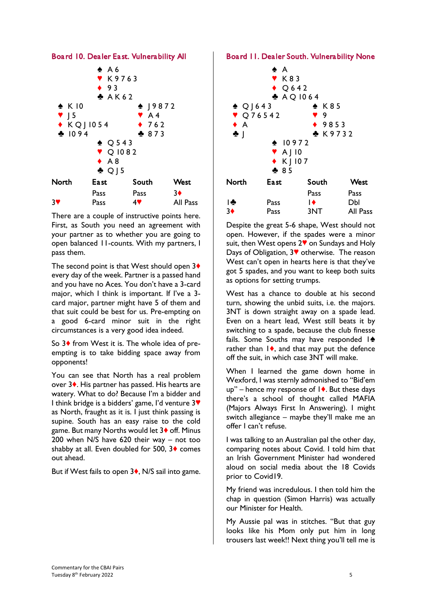

There are a couple of instructive points here. First, as South you need an agreement with your partner as to whether you are going to open balanced 11-counts. With my partners, I pass them.

The second point is that West should open  $3\blacklozenge$ every day of the week. Partner is a passed hand and you have no Aces. You don't have a 3-card major, which I think is important. If I've a 3 card major, partner might have 5 of them and that suit could be best for us. Pre-empting on a good 6-card minor suit in the right circumstances is a very good idea indeed.

So  $3\blacklozenge$  from West it is. The whole idea of preempting is to take bidding space away from opponents!

You can see that North has a real problem over 3<sup>\*</sup>. His partner has passed. His hearts are watery. What to do? Because I'm a bidder and I think bridge is a bidders' game, I'd venture 3<sup> $\blacktriangledown$ </sup> as North, fraught as it is. I just think passing is supine. South has an easy raise to the cold game. But many Norths would let 3<sup> $\bullet$ </sup> off. Minus 200 when N/S have 620 their way – not too shabby at all. Even doubled for 500,  $3\diamond$  comes out ahead.

But if West fails to open  $3\blacklozenge$ , N/S sail into game.

## Board 11. Dealer South. Vulnerability None



Despite the great 5-6 shape, West should not open. However, if the spades were a minor suit, then West opens  $2\blacktriangledown$  on Sundays and Holy Days of Obligation,  $3\blacktriangledown$  otherwise. The reason West can't open in hearts here is that they've got 5 spades, and you want to keep both suits as options for setting trumps.

West has a chance to double at his second turn, showing the unbid suits, i.e. the majors. 3NT is down straight away on a spade lead. Even on a heart lead, West still beats it by switching to a spade, because the club finesse fails. Some Souths may have responded  $|\spadesuit$ rather than  $\mathsf{I}\blacklozenge$ , and that may put the defence off the suit, in which case 3NT will make.

When I learned the game down home in Wexford, I was sternly admonished to "Bid'em  $up''$  – hence my response of  $\blacktriangleright$ . But these days there's a school of thought called MAFIA (Majors Always First In Answering). I might switch allegiance – maybe they'll make me an offer I can't refuse.

I was talking to an Australian pal the other day, comparing notes about Covid. I told him that an Irish Government Minister had wondered aloud on social media about the 18 Covids prior to Covid19.

My friend was incredulous. I then told him the chap in question (Simon Harris) was actually our Minister for Health.

My Aussie pal was in stitches. "But that guy looks like his Mom only put him in long trousers last week!! Next thing you'll tell me is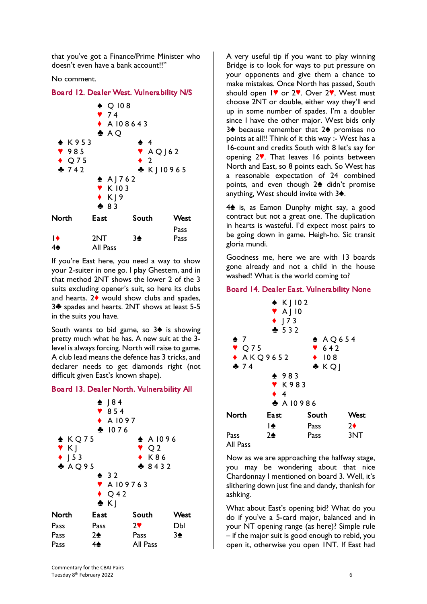that you've got a Finance/Prime Minister who doesn't even have a bank account!!"

No comment.

#### Board 12. Dealer West. Vulnerability N/S



If you're East here, you need a way to show your 2-suiter in one go. I play Ghestem, and in that method 2NT shows the lower 2 of the 3 suits excluding opener's suit, so here its clubs and hearts.  $2\blacklozenge$  would show clubs and spades, 3<sup>h</sup> spades and hearts. 2NT shows at least 5-5 in the suits you have.

South wants to bid game, so  $3\spadesuit$  is showing pretty much what he has. A new suit at the 3 level is always forcing. North will raise to game. A club lead means the defence has 3 tricks, and declarer needs to get diamonds right (not difficult given East's known shape).

#### Board 13. Dealer North. Vulnerability All



A very useful tip if you want to play winning Bridge is to look for ways to put pressure on your opponents and give them a chance to make mistakes. Once North has passed, South should open  $1$ <sup>o</sup> or 2<sup>o</sup>. Over 2<sup>o</sup>, West must choose 2NT or double, either way they'll end up in some number of spades. I'm a doubler since I have the other major. West bids only 3 $\triangle$  because remember that 2 $\triangle$  promises no points at all!! Think of it this way :- West has a 16-count and credits South with 8 let's say for opening  $2$ . That leaves 16 points between North and East, so 8 points each. So West has a reasonable expectation of 24 combined points, and even though  $2\spadesuit$  didn't promise anything, West should invite with  $3\spadesuit$ .

4<sup>t</sup> is, as Eamon Dunphy might say, a good contract but not a great one. The duplication in hearts is wasteful. I'd expect most pairs to be going down in game. Heigh-ho. Sic transit gloria mundi.

Goodness me, here we are with 13 boards gone already and not a child in the house washed! What is the world coming to?

#### Board 14. Dealer East. Vulnerability None



Now as we are approaching the halfway stage, you may be wondering about that nice Chardonnay I mentioned on board 3. Well, it's slithering down just fine and dandy, thanksh for ashking.

What about East's opening bid? What do you do if you've a 5-card major, balanced and in your NT opening range (as here)? Simple rule – if the major suit is good enough to rebid, you open it, otherwise you open 1NT. If East had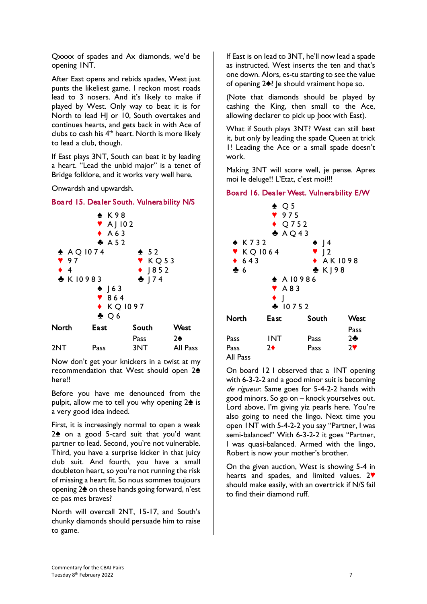Qxxxx of spades and Ax diamonds, we'd be opening 1NT.

After East opens and rebids spades, West just punts the likeliest game. I reckon most roads lead to 3 nosers. And it's likely to make if played by West. Only way to beat it is for North to lead HJ or 10, South overtakes and continues hearts, and gets back in with Ace of clubs to cash his  $4<sup>th</sup>$  heart. North is more likely to lead a club, though.

If East plays 3NT, South can beat it by leading a heart. "Lead the unbid major" is a tenet of Bridge folklore, and it works very well here.

Onwardsh and upwardsh.





Now don't get your knickers in a twist at my recommendation that West should open  $2\spadesuit$ here!!

2NT Pass 3NT All Pass

Before you have me denounced from the pulpit, allow me to tell you why opening  $2\spadesuit$  is a very good idea indeed.

First, it is increasingly normal to open a weak  $2\spadesuit$  on a good 5-card suit that you'd want partner to lead. Second, you're not vulnerable. Third, you have a surprise kicker in that juicy club suit. And fourth, you have a small doubleton heart, so you're not running the risk of missing a heart fit. So nous sommes toujours opening  $2\spadesuit$  on these hands going forward, n'est ce pas mes braves?

North will overcall 2NT, 15-17, and South's chunky diamonds should persuade him to raise to game.

If East is on lead to 3NT, he'll now lead a spade as instructed. West inserts the ten and that's one down. Alors, es-tu starting to see the value of opening  $2\spadesuit$ ? Je should vraiment hope so.

(Note that diamonds should be played by cashing the King, then small to the Ace, allowing declarer to pick up Jxxx with East).

What if South plays 3NT? West can still beat it, but only by leading the spade Queen at trick 1! Leading the Ace or a small spade doesn't work.

Making 3NT will score well, je pense. Apres moi le deluge!! L'Etat, c'est moi!!!

#### Board 16. Dealer West. Vulnerability E/W



On board 12 I observed that a 1NT opening with 6-3-2-2 and a good minor suit is becoming de rigueur. Same goes for 5-4-2-2 hands with good minors. So go on – knock yourselves out. Lord above, I'm giving yiz pearls here. You're also going to need the lingo. Next time you open 1NT with 5-4-2-2 you say "Partner, I was semi-balanced" With 6-3-2-2 it goes "Partner, I was quasi-balanced. Armed with the lingo, Robert is now your mother's brother.

On the given auction, West is showing 5-4 in hearts and spades, and limited values.  $2\Psi$ should make easily, with an overtrick if N/S fail to find their diamond ruff.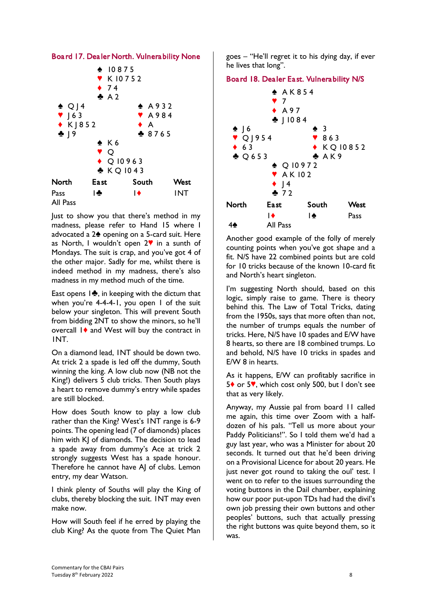



Just to show you that there's method in my madness, please refer to Hand 15 where I advocated a  $2\spadesuit$  opening on a 5-card suit. Here as North, I wouldn't open  $2\Psi$  in a sunth of Mondays. The suit is crap, and you've got 4 of the other major. Sadly for me, whilst there is indeed method in my madness, there's also madness in my method much of the time.

East opens  $1\clubsuit$ , in keeping with the dictum that when you're 4-4-4-1, you open 1 of the suit below your singleton. This will prevent South from bidding 2NT to show the minors, so he'll overcall 1<sup> $\bullet$ </sup> and West will buy the contract in 1NT.

On a diamond lead, 1NT should be down two. At trick 2 a spade is led off the dummy, South winning the king. A low club now (NB not the King!) delivers 5 club tricks. Then South plays a heart to remove dummy's entry while spades are still blocked.

How does South know to play a low club rather than the King? West's 1NT range is 6-9 points. The opening lead (7 of diamonds) places him with KJ of diamonds. The decision to lead a spade away from dummy's Ace at trick 2 strongly suggests West has a spade honour. Therefore he cannot have AJ of clubs. Lemon entry, my dear Watson.

I think plenty of Souths will play the King of clubs, thereby blocking the suit. 1NT may even make now.

How will South feel if he erred by playing the club King? As the quote from The Quiet Man goes – "He'll regret it to his dying day, if ever he lives that long".

## Board 18. Dealer East. Vulnerability N/S



Another good example of the folly of merely counting points when you've got shape and a fit. N/S have 22 combined points but are cold for 10 tricks because of the known 10-card fit and North's heart singleton.

I'm suggesting North should, based on this logic, simply raise to game. There is theory behind this. The Law of Total Tricks, dating from the 1950s, says that more often than not, the number of trumps equals the number of tricks. Here, N/S have 10 spades and E/W have 8 hearts, so there are 18 combined trumps. Lo and behold, N/S have 10 tricks in spades and E/W 8 in hearts.

As it happens, E/W can profitably sacrifice in 5♦ or 5♥, which cost only 500, but I don't see that as very likely.

Anyway, my Aussie pal from board 11 called me again, this time over Zoom with a halfdozen of his pals. "Tell us more about your Paddy Politicians!". So I told them we'd had a guy last year, who was a Minister for about 20 seconds. It turned out that he'd been driving on a Provisional Licence for about 20 years. He just never got round to taking the oul' test. I went on to refer to the issues surrounding the voting buttons in the Dail chamber, explaining how our poor put-upon TDs had had the divil's own job pressing their own buttons and other peoples' buttons, such that actually pressing the right buttons was quite beyond them, so it was.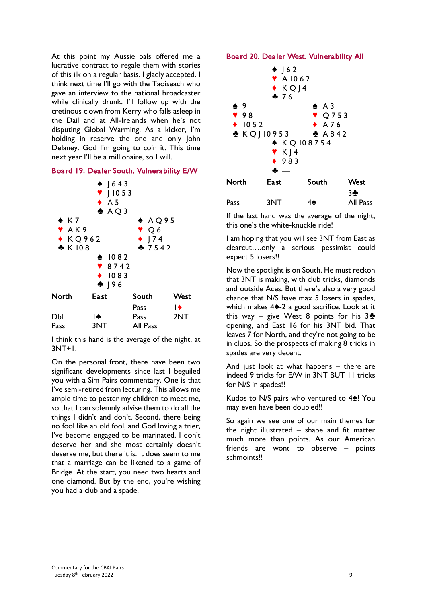At this point my Aussie pals offered me a lucrative contract to regale them with stories of this ilk on a regular basis. I gladly accepted. I think next time I'll go with the Taoiseach who gave an interview to the national broadcaster while clinically drunk. I'll follow up with the cretinous clown from Kerry who falls asleep in the Dail and at All-Irelands when he's not disputing Global Warming. As a kicker, I'm holding in reserve the one and only John Delaney. God I'm going to coin it. This time next year I'll be a millionaire, so I will.

## Board 19. Dealer South. Vulnerability E/W



I think this hand is the average of the night, at 3NT+1.

On the personal front, there have been two significant developments since last I beguiled you with a Sim Pairs commentary. One is that I've semi-retired from lecturing. This allows me ample time to pester my children to meet me, so that I can solemnly advise them to do all the things I didn't and don't. Second, there being no fool like an old fool, and God loving a trier, I've become engaged to be marinated. I don't deserve her and she most certainly doesn't deserve me, but there it is. It does seem to me that a marriage can be likened to a game of Bridge. At the start, you need two hearts and one diamond. But by the end, you're wishing you had a club and a spade.

#### Board 20. Dealer West. Vulnerability All



If the last hand was the average of the night, this one's the white-knuckle ride!

I am hoping that you will see 3NT from East as clearcut….only a serious pessimist could expect 5 losers!!

Now the spotlight is on South. He must reckon that 3NT is making, with club tricks, diamonds and outside Aces. But there's also a very good chance that N/S have max 5 losers in spades, which makes  $4\spadesuit$ -2 a good sacrifice. Look at it this way – give West 8 points for his  $3\clubsuit$ opening, and East 16 for his 3NT bid. That leaves 7 for North, and they're not going to be in clubs. So the prospects of making 8 tricks in spades are very decent.

And just look at what happens – there are indeed 9 tricks for E/W in 3NT BUT 11 tricks for N/S in spades!!

Kudos to N/S pairs who ventured to 4<sup>1</sup>! You may even have been doubled!!

So again we see one of our main themes for the night illustrated – shape and fit matter much more than points. As our American friends are wont to observe – points schmoints!!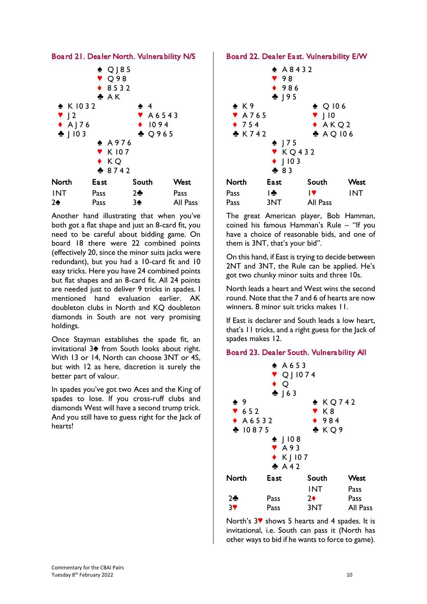

Another hand illustrating that when you've both got a flat shape and just an 8-card fit, you need to be careful about bidding game. On board 18 there were 22 combined points (effectively 20, since the minor suits jacks were redundant), but you had a 10-card fit and 10 easy tricks. Here you have 24 combined points but flat shapes and an 8-card fit. All 24 points are needed just to deliver 9 tricks in spades. I mentioned hand evaluation earlier. AK doubleton clubs in North and KQ doubleton diamonds in South are not very promising holdings.

Once Stayman establishes the spade fit, an invitational  $3$  from South looks about right. With 13 or 14, North can choose 3NT or 4S, but with 12 as here, discretion is surely the better part of valour.

In spades you've got two Aces and the King of spades to lose. If you cross-ruff clubs and diamonds West will have a second trump trick. And you still have to guess right for the Jack of hearts!

#### Board 22. Dealer East. Vulnerability E/W



The great American player, Bob Hamman, coined his famous Hamman's Rule – "If you have a choice of reasonable bids, and one of them is 3NT, that's your bid".

On this hand, if East is trying to decide between 2NT and 3NT, the Rule can be applied. He's got two chunky minor suits and three 10s.

North leads a heart and West wins the second round. Note that the 7 and 6 of hearts are now winners. 8 minor suit tricks makes 11.

If East is declarer and South leads a low heart, that's 11 tricks, and a right guess for the Jack of spades makes 12.

#### Board 23. Dealer South. Vulnerability All



North's  $3\%$  shows 5 hearts and 4 spades. It is invitational, i.e. South can pass it (North has other ways to bid if he wants to force to game).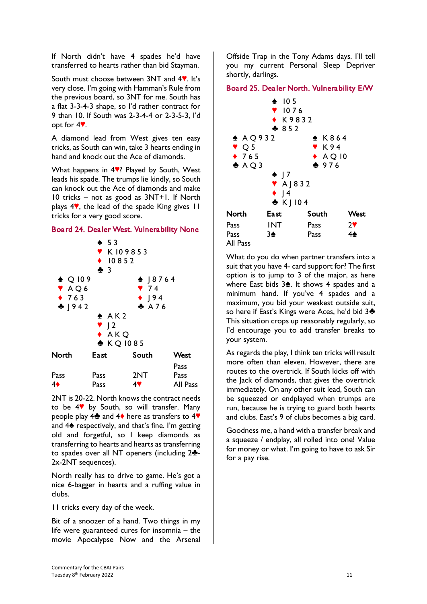If North didn't have 4 spades he'd have transferred to hearts rather than bid Stayman.

South must choose between  $3NT$  and  $4$ . It's very close. I'm going with Hamman's Rule from the previous board, so 3NT for me. South has a flat 3-3-4-3 shape, so I'd rather contract for 9 than 10. If South was 2-3-4-4 or 2-3-5-3, I'd opt for  $4$ .

A diamond lead from West gives ten easy tricks, as South can win, take 3 hearts ending in hand and knock out the Ace of diamonds.

What happens in  $4$ . Played by South, West leads his spade. The trumps lie kindly, so South can knock out the Ace of diamonds and make 10 tricks – not as good as 3NT+1. If North plays  $4$ , the lead of the spade King gives  $11$ tricks for a very good score.

## Board 24. Dealer West. Vulnerability None



2NT is 20-22. North knows the contract needs to be  $4$  by South, so will transfer. Many people play 4<sup> $\bullet$ </sup> and 4 $\bullet$  here as transfers to 4 $\bullet$ and  $4\spadesuit$  respectively, and that's fine. I'm getting old and forgetful, so I keep diamonds as transferring to hearts and hearts as transferring to spades over all NT openers (including  $2\clubsuit$ -2x-2NT sequences).

North really has to drive to game. He's got a nice 6-bagger in hearts and a ruffing value in clubs.

11 tricks every day of the week.

Bit of a snoozer of a hand. Two things in my life were guaranteed cures for insomnia – the movie Apocalypse Now and the Arsenal Offside Trap in the Tony Adams days. I'll tell you my current Personal Sleep Depriver shortly, darlings.

## Board 25. Dealer North. Vulnerability E/W



What do you do when partner transfers into a suit that you have 4- card support for? The first option is to jump to 3 of the major, as here where East bids  $3\spadesuit$ . It shows 4 spades and a minimum hand. If you've 4 spades and a maximum, you bid your weakest outside suit, so here if East's Kings were Aces, he'd bid 3<sup>4</sup> This situation crops up reasonably regularly, so I'd encourage you to add transfer breaks to your system.

As regards the play, I think ten tricks will result more often than eleven. However, there are routes to the overtrick. If South kicks off with the Jack of diamonds, that gives the overtrick immediately. On any other suit lead, South can be squeezed or endplayed when trumps are run, because he is trying to guard both hearts and clubs. East's 9 of clubs becomes a big card.

Goodness me, a hand with a transfer break and a squeeze / endplay, all rolled into one! Value for money or what. I'm going to have to ask Sir for a pay rise.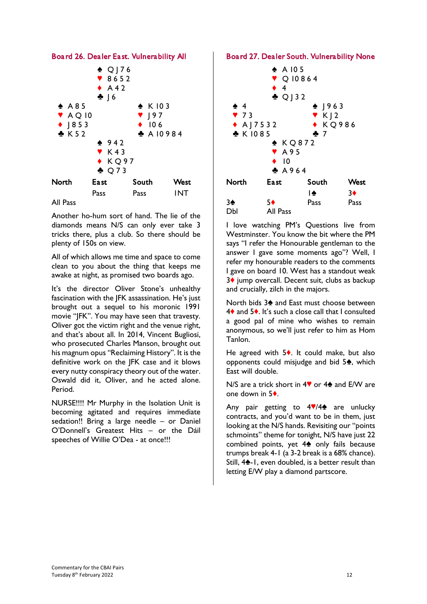

#### All Pass

Another ho-hum sort of hand. The lie of the diamonds means N/S can only ever take 3 tricks there, plus a club. So there should be plenty of 150s on view.

All of which allows me time and space to come clean to you about the thing that keeps me awake at night, as promised two boards ago.

It's the director Oliver Stone's unhealthy fascination with the JFK assassination. He's just brought out a sequel to his moronic 1991 movie "JFK". You may have seen that travesty. Oliver got the victim right and the venue right, and that's about all. In 2014, Vincent Bugliosi, who prosecuted Charles Manson, brought out his magnum opus "Reclaiming History". It is the definitive work on the JFK case and it blows every nutty conspiracy theory out of the water. Oswald did it, Oliver, and he acted alone. Period.

NURSE!!!! Mr Murphy in the Isolation Unit is becoming agitated and requires immediate sedation!! Bring a large needle – or Daniel O'Donnell's Greatest Hits – or the Dáil speeches of Willie O'Dea - at once!!!

#### Board 27. Dealer South. Vulnerability None



I love watching PM's Questions live from Westminster. You know the bit where the PM says "I refer the Honourable gentleman to the answer I gave some moments ago"? Well, I refer my honourable readers to the comments I gave on board 10. West has a standout weak 3♦ jump overcall. Decent suit, clubs as backup and crucially, zilch in the majors.

North bids 3<sup> $\triangle$ </sup> and East must choose between  $4\bullet$  and  $5\bullet$ . It's such a close call that I consulted a good pal of mine who wishes to remain anonymous, so we'll just refer to him as Hom Tanlon.

He agreed with  $5\bullet$ . It could make, but also opponents could misjudge and bid  $5\text{\AA}$ , which East will double.

N/S are a trick short in  $4\degree$  or  $4\spadesuit$  and E/W are one down in  $5\dots$ 

Any pair getting to  $4\sqrt{44}$  are unlucky contracts, and you'd want to be in them, just looking at the N/S hands. Revisiting our "points schmoints" theme for tonight, N/S have just 22 combined points, yet  $4\spadesuit$  only fails because trumps break 4-1 (a 3-2 break is a 68% chance). Still,  $4\spadesuit$ -1, even doubled, is a better result than letting E/W play a diamond partscore.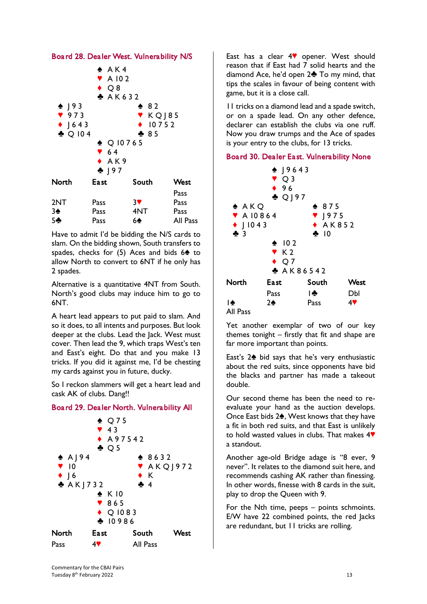



Have to admit I'd be bidding the N/S cards to slam. On the bidding shown, South transfers to spades, checks for  $(5)$  Aces and bids  $6\spadesuit$  to allow North to convert to 6NT if he only has 2 spades.

Alternative is a quantitative 4NT from South. North's good clubs may induce him to go to 6NT.

A heart lead appears to put paid to slam. And so it does, to all intents and purposes. But look deeper at the clubs. Lead the Jack. West must cover. Then lead the 9, which traps West's ten and East's eight. Do that and you make 13 tricks. If you did it against me, I'd be chesting my cards against you in future, ducky.

So I reckon slammers will get a heart lead and cask AK of clubs. Dang!!

## Board 29. Dealer North. Vulnerability All



East has a clear  $4$  opener. West should reason that if East had 7 solid hearts and the diamond Ace, he'd open  $2\clubsuit$  To my mind, that tips the scales in favour of being content with game, but it is a close call.

11 tricks on a diamond lead and a spade switch, or on a spade lead. On any other defence, declarer can establish the clubs via one ruff. Now you draw trumps and the Ace of spades is your entry to the clubs, for 13 tricks.

## Board 30. Dealer East. Vulnerability None



Yet another exemplar of two of our key themes tonight – firstly that fit and shape are far more important than points.

East's  $2\spadesuit$  bid says that he's very enthusiastic about the red suits, since opponents have bid the blacks and partner has made a takeout double.

Our second theme has been the need to reevaluate your hand as the auction develops. Once East bids  $2\spadesuit$ , West knows that they have a fit in both red suits, and that East is unlikely to hold wasted values in clubs. That makes  $4$ a standout.

Another age-old Bridge adage is "8 ever, 9 never". It relates to the diamond suit here, and recommends cashing AK rather than finessing. In other words, finesse with 8 cards in the suit, play to drop the Queen with 9.

For the Nth time, peeps – points schmoints. E/W have 22 combined points, the red Jacks are redundant, but 11 tricks are rolling.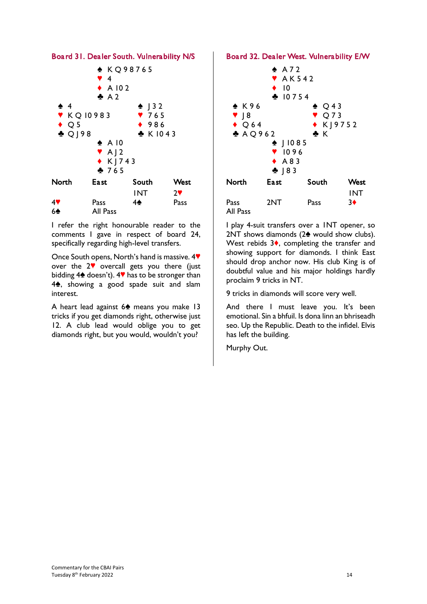

I refer the right honourable reader to the comments I gave in respect of board 24, specifically regarding high-level transfers.

Once South opens, North's hand is massive. 4<sup> $\blacklozenge$ </sup> over the  $2\mathbf{v}$  overcall gets you there (just bidding  $4\spadesuit$  doesn't).  $4\Psi$  has to be stronger than  $4\spadesuit$ , showing a good spade suit and slam interest.

A heart lead against 6<sup>2</sup> means you make 13 tricks if you get diamonds right, otherwise just 12. A club lead would oblige you to get diamonds right, but you would, wouldn't you?

#### Board 32. Dealer West. Vulnerability E/W



I play 4-suit transfers over a 1NT opener, so  $2NT$  shows diamonds ( $2\spadesuit$  would show clubs). West rebids  $3\bullet$ , completing the transfer and showing support for diamonds. I think East should drop anchor now. His club King is of doubtful value and his major holdings hardly proclaim 9 tricks in NT.

9 tricks in diamonds will score very well.

And there I must leave you. It's been emotional. Sin a bhfuil. Is dona linn an bhriseadh seo. Up the Republic. Death to the infidel. Elvis has left the building.

Murphy Out.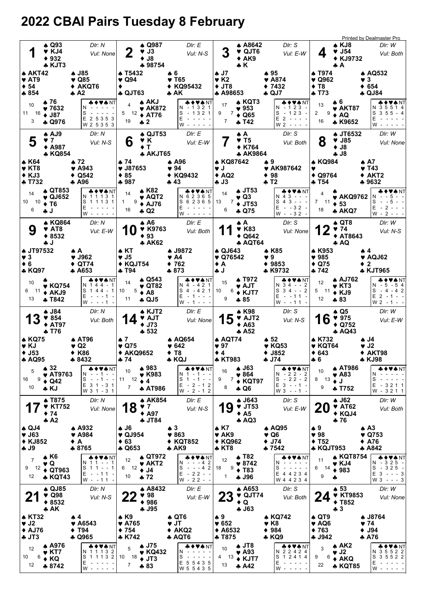# 2022 CBAI Pairs Tuesday 8 February

|                                                                                 |    |                                                                                 |          |                                                                                 |                                                                               |                                                                                                |                                                                                          |                                                         |                                                                                    |     |                                                                                                      |                                                                                     |                                                                      | Printed by Dealmaster Pro                                                                    |
|---------------------------------------------------------------------------------|----|---------------------------------------------------------------------------------|----------|---------------------------------------------------------------------------------|-------------------------------------------------------------------------------|------------------------------------------------------------------------------------------------|------------------------------------------------------------------------------------------|---------------------------------------------------------|------------------------------------------------------------------------------------|-----|------------------------------------------------------------------------------------------------------|-------------------------------------------------------------------------------------|----------------------------------------------------------------------|----------------------------------------------------------------------------------------------|
| 1                                                                               |    | $\spadesuit$ Q93<br>VKJ4<br>$* 932$                                             |          | DIr: N<br>Vul: None                                                             | $\overline{2}$                                                                | $\triangle$ Q987<br>$\blacktriangledown$ J3<br>$\bullet$ J8                                    | Dir: E<br>Vul: N-S                                                                       |                                                         | A8642<br>♥ QJT6<br>$*$ AK9                                                         |     | DIr: S<br>Vul: E-W                                                                                   | 4                                                                                   | $\triangle$ KJ8<br>$\blacktriangledown$ J54<br>◆ KJ9732              | DIr: W<br>Vul: Both                                                                          |
| $\triangle$ AKT42<br>$\blacktriangledown$ AT9                                   |    | * KJT3                                                                          |          | ♣ J85<br>$\blacktriangledown$ Q85                                               | ▲ T5432<br>$\blacktriangledown$ Q94                                           | ♣ 98754                                                                                        | ♠6<br>♥ T65                                                                              | ♠ J7<br>$\blacktriangledown$ K2                         | $\star$ K                                                                          |     | $*95$<br>$\blacktriangledown$ A874                                                                   | <b>A T974</b><br>$\blacktriangledown$ Q962                                          | ♣A                                                                   | ♠ AQ532<br>♥ 3                                                                               |
| $\div$ 54<br>$*854$                                                             |    |                                                                                 |          | ◆ AKQT6<br>$\clubsuit$ A2                                                       | ٠<br><b>4 QJT63</b>                                                           |                                                                                                | KQ95432<br>♣ AK                                                                          | $+$ JT8<br><b>A A98653</b>                              |                                                                                    | ٠   | 7432<br>♣ QJ7                                                                                        | $\div$ T <sub>8</sub><br>* T73                                                      |                                                                      | $* 654$<br><b>4 QJ84</b>                                                                     |
| 10<br>11 16<br>3                                                                |    | ▲ 76<br>$\blacktriangledown 7632$<br>$\bullet$ J87<br><b>4 Q976</b>             |          | <b>▲◆♥♠</b> NT<br>N<br>S<br>E 2 5 3 5 3<br>W 2 5 3 5 3                          | 4<br>19                                                                       | <b>A AKJ</b><br>$\blacktriangledown$ AK872<br>$5 \t12$ ♦ AT76<br>$+2$                          | <b>&amp;♦♥₳</b> NT<br>N - 1321<br>$-1321$<br>S<br>E<br>w -                               | 17<br>9<br>7<br>7                                       | ▲ KQT3<br>$\blacktriangledown$ 953<br>$\triangle$ Q65<br>$+ 742$                   |     | ♣♦♥♠ NT<br>N - 123 -<br>S<br>$-123 -$<br>E <sub>2</sub><br>$\sim$ $\sim$ $\sim$ $\sim$<br>$W2 - - -$ | 13<br>2<br>9<br>16                                                                  | Ѧ6<br>$\blacktriangledown$ AKT87<br>♦ AQ<br>* K9652                  | $\clubsuit$ NT<br>N 35514<br>S<br>$355 - 4$<br>E<br>W                                        |
| 5                                                                               |    | ▲ AJ9<br>♥ 7<br>$*$ A987<br>* KQ854                                             |          | DIr: N<br>Vul: N-S                                                              | 6                                                                             | $\spadesuit$ QJT53<br>Y K<br>$\bullet$ T<br><b>A AKJT65</b>                                    | DIr: E<br>Vul: E-W                                                                       |                                                         | АA<br>♥ T5<br><b>◆ K764</b><br>* AK9864                                            |     | DIr: S<br>Vul: Both                                                                                  | 8                                                                                   | ♣ JT6532<br>$\blacktriangledown$ J85<br>$\bullet$ J8<br>$-18$        | DIr: W<br>Vul: None                                                                          |
| A K64                                                                           |    |                                                                                 |          | ▲ 72.                                                                           | ▲ 74                                                                          |                                                                                                | ▲ A96                                                                                    | * KQ87642                                               |                                                                                    | ₩9. |                                                                                                      | A KQ984                                                                             |                                                                      | ▲ A7                                                                                         |
| $\blacktriangledown$ KT8<br>$\triangle$ KJ3                                     |    |                                                                                 |          | ♥ A943<br>Q542                                                                  | $\blacktriangledown$ J87653<br>$*85$                                          |                                                                                                | $\blacktriangledown$ 94<br>KQ9432<br>٠                                                   | v J<br>$\triangle$ AQ2                                  |                                                                                    |     | ♥ AK987642<br>$* 98$                                                                                 | v<br>$\triangle$ Q9764                                                              |                                                                      | $\blacktriangledown$ T43<br>$\blacklozenge$ AKT2                                             |
| <b>+ T732</b>                                                                   |    |                                                                                 |          | <b>4 A96</b>                                                                    | $+987$                                                                        |                                                                                                | ♣ 43                                                                                     | $+J3$                                                   |                                                                                    |     | ♣ T2                                                                                                 | <b>* T54</b>                                                                        |                                                                      | ♣ 9632                                                                                       |
| 14<br>10 10<br>6                                                                |    | <b>A QT853</b><br>$\blacktriangledown$ QJ652<br>$\bullet$ T <sub>6</sub><br>i j |          | ♣♦♥♠ NT<br>N 1 1 1 3 1<br>S 1 1 1 3 1<br>E.<br>$W -$                            | 14<br>9<br>1.<br>16                                                           | ▲ K82<br>♥ AQT2<br>$\triangle$ AJ76<br>$\clubsuit$ Q2                                          | ♣♦♥♠ NT<br>N 6 2 3 6 5<br>S 6 2 3 6 5<br>E<br>w -                                        | 14<br>13<br>7<br>6                                      | <b>A JT53</b><br>♥ Q3<br>$+$ JT53<br>÷ Q75                                         |     | & ♦ ♥★ NT<br>$43 - -$<br>N<br>S<br>$43 - -$<br>Е<br>$-32 -$<br>$W - 32 -$                            | 4<br>7<br>11<br>18                                                                  | <b>* AKQ9762</b><br>$\div$ 53<br>* AKQ7                              | <b>VANT</b><br>S<br>5<br>E<br>2<br>$W -$<br>2                                                |
| 9                                                                               |    | <b>A KQ864</b><br>$\blacktriangledown$ AT8<br>$*8532$<br>ل پ                    |          | DIr: N<br>Vul: E-W                                                              | 1 U                                                                           | ▲ A6<br><b>V</b> K9763<br>$*93$<br><b>* AK62</b>                                               | Dir: E<br>Vul: Both                                                                      |                                                         | ₩A.<br><b>V K83</b><br>♦ Q642<br><b>* AQT64</b>                                    |     | Dir: S<br>Vul: None                                                                                  | 12                                                                                  | $\triangle$ QT8<br>974<br>◆ AT8643<br>A Q                            | DIr: W<br>Vul: N-S                                                                           |
| ♦ JT97532<br>$\vee$ 3<br>$\bullet$ 6                                            |    |                                                                                 |          | ♠ A<br>$\blacktriangledown$ J962<br>QT74                                        | $\triangle$ KT<br>♥ J5<br>◆ KQJT54                                            |                                                                                                | <b>A J9872</b><br>♥ A4<br>762                                                            | ♦ QJ643<br>$\blacktriangledown$ Q76542<br>♦ A           |                                                                                    | v.  | <b>AK85</b><br>9<br>$* 9853$                                                                         | <b>A</b> K953<br>$\blacktriangledown$ 985<br>$\triangle$ Q75                        |                                                                      | ♠4<br>♥ AQJ62<br>$\bullet$ 2                                                                 |
| * KQ97                                                                          |    |                                                                                 |          | ♣ A653                                                                          | ♣ T94                                                                         |                                                                                                | $*873$                                                                                   | ل پ                                                     |                                                                                    |     | ♣ K9732                                                                                              | ♣ 742                                                                               |                                                                      | <b>* KJT965</b>                                                                              |
| 10<br>6<br>13                                                                   | 11 | $\blacktriangledown$ KQ754<br>$+ AKJ9$<br>♣ T842                                |          | ◆♥♠NT<br>N 144-1<br>$S$ 144 - 1<br>E -<br>$- - 1$<br>W -                        | 14<br>5<br>10<br>11                                                           | $\triangle$ Q543<br>$\blacktriangledown$ QT82<br>$\triangle$ A <sub>8</sub><br>$\clubsuit$ QJ5 | ◆♥◆NT<br>N 4 - 4 2 1<br>S 4 - 4 2 1<br>$E - 1 - -$<br>W - 1 - - -                        | 15<br>6<br>10<br>9                                      | A T972<br>♥ AJT<br>$\triangle$ KJT7<br>♣ 85                                        |     | & ♦ ♥ ♠ NT<br>N 34 - - 2<br>$34 - 2$<br>S<br>Е<br>$-11 -$<br>$W - -11 -$                             | 12<br>5<br>11<br>12                                                                 | <b>AJ762</b><br>$\blacktriangledown$ KT3<br>$\triangle$ KJ9<br>$*83$ | ♣♦♥♠NT<br>N - 5 - 5 4<br>$S - 4 - 42$<br>$E$ 2 - 1 - -<br>$W_2 - 1 -$                        |
| 13                                                                              |    | ♣ J84<br>$*854$<br>$\triangle$ AT97                                             |          | DIr: N<br>Vul: Both                                                             | 4                                                                             | $\triangle$ KJT2<br><b>V</b> AJT<br>$\blacklozenge$ J73                                        | DIr: E<br>Vul: None                                                                      | 15                                                      | ♠ K98<br><b>V</b> AJT2<br>$\triangle$ A63                                          |     | DIr: S<br>Vul: N-S                                                                                   | 16                                                                                  | $\clubsuit$ Q5<br>975<br>$\triangle$ Q752                            | DIr: W<br>Vul: E-W                                                                           |
| <b>* KQ75</b><br>VKJ<br>$+$ J53                                                 |    | ÷ T76                                                                           |          | <b>A AT96</b><br>$\blacktriangledown$ Q2<br>◆ K86                               | $\clubsuit$ 7<br>$\blacktriangledown$ Q75<br>◆ AKQ9652                        | $-532$                                                                                         | ♠ AQ654<br>♥ 642<br>♦ Т8                                                                 | $\clubsuit$ AQT74<br>97<br>$\bullet$ 4                  | A 52                                                                               |     | $\clubsuit$ 52<br>$\blacktriangledown$ KQ53<br>$\blacklozenge$ J852                                  | ♦ K732<br><b>V KQT64</b><br>$* 643$                                                 | <b>4 AQ43</b>                                                        | $\clubsuit$ J4<br>$\blacktriangledown$ J2<br>◆ AKT98                                         |
| <b>A AQ95</b>                                                                   |    | $\clubsuit$ 32                                                                  |          | $*8432$<br>◆♥♠NT                                                                | ♣ 74                                                                          | $*983$                                                                                         | * KQJ<br>♦♥♠ NT                                                                          | <b>* KT983</b>                                          | A J63                                                                              |     | ♣ J74<br>♣♦♥♠NT                                                                                      | $+6$                                                                                | <b>AT986</b>                                                         | <b>* KJ98</b>                                                                                |
| 5<br>16<br>10                                                                   | 9  | $\triangleleft$ Q42<br>* KJ                                                     | ♥ AT9763 | N<br>-1--<br>S<br>$- - 1$<br>$\sim$<br>E 3 1 - 3 1<br>W 3 1 - 3 1               | 10<br>11<br>12<br>7                                                           | $\blacktriangledown$ K983<br>$\bullet$ 4<br><b>A AT986</b>                                     | $-1 - -$<br>N 1<br>$-1$<br>S<br>$\overline{1}$<br>$ -$<br>E<br>$-2 - 12$<br>$W - 2 - 12$ | 16<br>9<br>8                                            | $\blacktriangledown 864$<br>$7 \div KQ$ T97<br>$\clubsuit$ Q6                      |     | $N - 22 - 2$<br>$-22-2$<br>S<br>$E$ 3 - -1 -<br>$W3 - -1 -$                                          | 10<br>8 13<br>9                                                                     | ♥ A83<br>$\bullet$ J<br><b>+ T752</b>                                | VANT<br>N<br>S<br>Е<br>$-3211$<br>W - 3211                                                   |
|                                                                                 |    | <b>A T875</b><br><b>V</b> KT752<br>$*74$<br>A2                                  |          | DIr: N<br>Vul: None                                                             | 18                                                                            | <b>↑ AK854</b><br>$\bullet$ 7<br>$\triangle$ A97<br><b>4 JT84</b>                              | Dir: E<br>Vul: N-S                                                                       | 19                                                      | $\clubsuit$ J643<br>$\blacktriangledown$ JT53<br>$\triangle$ A5<br>$\clubsuit$ AQ3 |     | DIr: S<br>Vul: E-W                                                                                   | 20                                                                                  | $\clubsuit$ J62<br><b>V</b> AT62<br>$\triangle$ KQJ4<br>$+76$        | DIr: W<br>Vul: Both                                                                          |
| $\clubsuit$ QJ4<br>$\blacktriangledown$ J63<br><b>◆ KJ852</b><br>$+$ $J9$       |    |                                                                                 |          | <b>A</b> A932<br>$\blacktriangledown$ A984<br>♦ A<br>♣ 8765                     | <b>4 J6</b><br>$\blacktriangledown$ QJ954<br>$\bullet$ 63<br>$\clubsuit$ Q653 |                                                                                                | $\clubsuit$ 3<br>$\blacktriangledown 863$<br>◆ KQT852<br>$*$ AK9                         | $\bullet$ K7<br>♥ AK9<br>◆ KQ962<br>$\clubsuit$ KT8     |                                                                                    |     | $\clubsuit$ AQ95<br>♥ Q6<br>$\blacklozenge$ J74<br>♣ 7542                                            | $\clubsuit$ 9<br>$\blacktriangledown$ 98<br>$\blacklozenge$ T52<br><b>* KQJT953</b> |                                                                      | $\spadesuit$ A <sub>3</sub><br>$\blacktriangledown$ Q753<br>$\triangle$ A76<br><b>A</b> A842 |
| $\overline{7}$<br>9<br>12                                                       | 12 | $\clubsuit$ K6<br>♥ Q<br>$\triangle$ QT963<br>* KQT43                           |          | ♣♦♥♠NT<br>N.<br>11<br>--1<br>S 1 1 - - 1<br>E<br>$-11$<br>$\sim$<br>$W - -11 -$ | 12<br>6<br>10                                                                 | ♦ QT972<br>$\blacktriangledown$ AKT2<br>$12 \div 14$<br>$+72$                                  | ♣♦♥♠NT<br>$- - 42$<br>N<br>$- - - 42$<br>S<br>E<br>$-22 - -$<br>$W - 22 - -$             | 12<br>9<br>18<br>$\mathbf{1}$                           | <b>A T82</b><br>♥ 8742<br>$\triangle$ T <sub>83</sub><br><b>4 J96</b>              |     | ♣♦♥♠NT<br>N<br>S<br>$\sim$ $\sim$ $\sim$ $\sim$ $\sim$<br>E 4 4 2 3 4<br>W 4 4 2 3 4                 | 11<br>6<br>14<br>9                                                                  | v KJ4<br>$*983$                                                      | ♣♦♥♠NT<br>$-325 -$<br>N<br>$S - 325 -$<br>$E$ 3 - - - 3<br>$W3 - - 3$                        |
|                                                                                 |    | <b>↑ QJ85</b><br>$\blacktriangledown$ Q98<br>$*8532$<br>A K                     |          | Dir: N<br>Vul: N-S                                                              |                                                                               | <b>A</b> A8432<br>98<br>$*986$<br>÷ J95                                                        | DIr: E<br>Vul: E-W                                                                       |                                                         | A653<br>$\blacktriangledown$ QJT74<br>$\bullet$ Q<br>$-163$                        |     | Dir: S<br>Vul: Both                                                                                  | 24                                                                                  | $\clubsuit$ 53<br><b>V KT9853</b><br>$\blacklozenge$ T852<br>$+3$    | DIr: W<br>Vul: None                                                                          |
| <b>A KT32</b><br>$\blacktriangledown$ J2<br>$\triangle$ AJ76<br>$\clubsuit$ JT3 |    |                                                                                 |          | ♠ 4<br>$*$ A6543<br>$\blacklozenge$ T94<br><b>4 Q965</b>                        | $\triangle$ K9<br>$\blacktriangledown$ A765<br>$*754$<br>* K742               |                                                                                                | $\clubsuit$ QT6<br>$\blacktriangledown$ JT<br>$* AKQ2$<br><b>A AQT6</b>                  | $\clubsuit$ 9<br>$* 652$<br>$\triangle$ A6532<br>♣ T875 |                                                                                    |     | • KQ742<br>$\blacktriangledown$ K8<br>$* 984$<br>* KQ9                                               | $\triangle$ QT9<br>♥ AQ6<br>$*763$<br>♣ J942                                        |                                                                      | <b>4 J8764</b><br>♥ 74<br>$\blacklozenge$ J94<br>* A76                                       |
| 12<br>10<br>12                                                                  | 6  | A A976<br>$\blacktriangledown$ KT7<br>$\triangle$ KQ<br>$*8742$                 |          | ◆♥♠NT<br>N 1 1 1 3 2<br>S 1 1 1 3 2<br>E<br>$\overline{\phantom{a}}$<br>W -     | 5<br>10 18<br>$\overline{7}$                                                  | ♦ J75<br>♥ KQ432<br>$+$ JT3<br>$+83$                                                           | ♣♦♥♠ NT<br>N<br>S<br>E 5 5 4 3 5<br>W 5 5 4 3 5                                          | 10<br>13<br>4<br>13                                     | $\clubsuit$ JT8<br>$\blacktriangledown$ A93<br>$\triangle$ KJT7<br>A42             |     | ♣♦♥♠ NT<br>N 2 2 4 2 4<br>S<br>2414<br>-1<br>Ε<br>w -                                                | 3<br>9<br>6<br>22                                                                   | ♠ AK2<br>♥ J2<br>$\triangle$ AKQ<br><b>* KQT85</b>                   | ◆♥♠ NT<br>N 3 5 5 2 2<br>S<br>3 5 5 2 2<br>E<br>W                                            |